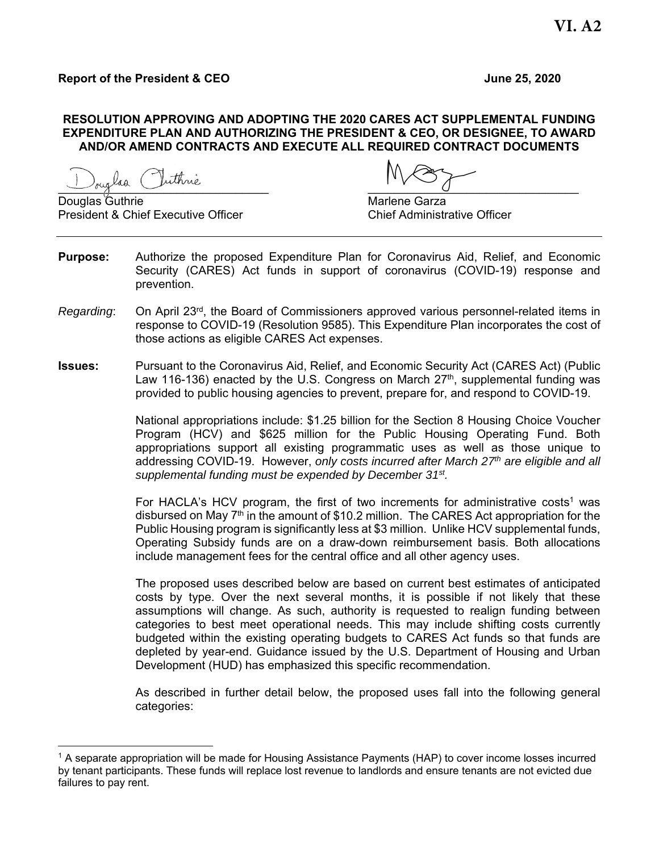# **Report of the President & CEO June 25, 2020**

### **RESOLUTION APPROVING AND ADOPTING THE 2020 CARES ACT SUPPLEMENTAL FUNDING EXPENDITURE PLAN AND AUTHORIZING THE PRESIDENT & CEO, OR DESIGNEE, TO AWARD AND/OR AMEND CONTRACTS AND EXECUTE ALL REQUIRED CONTRACT DOCUMENTS**

Douglas Guthrie Marlene Garza President & Chief Executive Officer Chief Administrative Officer

 $J$ ouglad chinoic

- **Purpose:** Authorize the proposed Expenditure Plan for Coronavirus Aid, Relief, and Economic Security (CARES) Act funds in support of coronavirus (COVID-19) response and prevention.
- *Regarding*: On April 23rd, the Board of Commissioners approved various personnel-related items in response to COVID-19 (Resolution 9585). This Expenditure Plan incorporates the cost of those actions as eligible CARES Act expenses.
- **Issues:** Pursuant to the Coronavirus Aid, Relief, and Economic Security Act (CARES Act) (Public Law 116-136) enacted by the U.S. Congress on March  $27<sup>th</sup>$ , supplemental funding was provided to public housing agencies to prevent, prepare for, and respond to COVID-19.

National appropriations include: \$1.25 billion for the Section 8 Housing Choice Voucher Program (HCV) and \$625 million for the Public Housing Operating Fund. Both appropriations support all existing programmatic uses as well as those unique to addressing COVID-19. However, *only costs incurred after March 27th are eligible and all supplemental funding must be expended by December 31st.*

For HACLA's HCV program, the first of two increments for administrative costs<sup>1</sup> was disbursed on May  $7<sup>th</sup>$  in the amount of \$10.2 million. The CARES Act appropriation for the Public Housing program is significantly less at \$3 million. Unlike HCV supplemental funds, Operating Subsidy funds are on a draw-down reimbursement basis. Both allocations include management fees for the central office and all other agency uses.

The proposed uses described below are based on current best estimates of anticipated costs by type. Over the next several months, it is possible if not likely that these assumptions will change. As such, authority is requested to realign funding between categories to best meet operational needs. This may include shifting costs currently budgeted within the existing operating budgets to CARES Act funds so that funds are depleted by year-end. Guidance issued by the U.S. Department of Housing and Urban Development (HUD) has emphasized this specific recommendation.

As described in further detail below, the proposed uses fall into the following general categories:

<sup>&</sup>lt;sup>1</sup> A separate appropriation will be made for Housing Assistance Payments (HAP) to cover income losses incurred by tenant participants. These funds will replace lost revenue to landlords and ensure tenants are not evicted due failures to pay rent.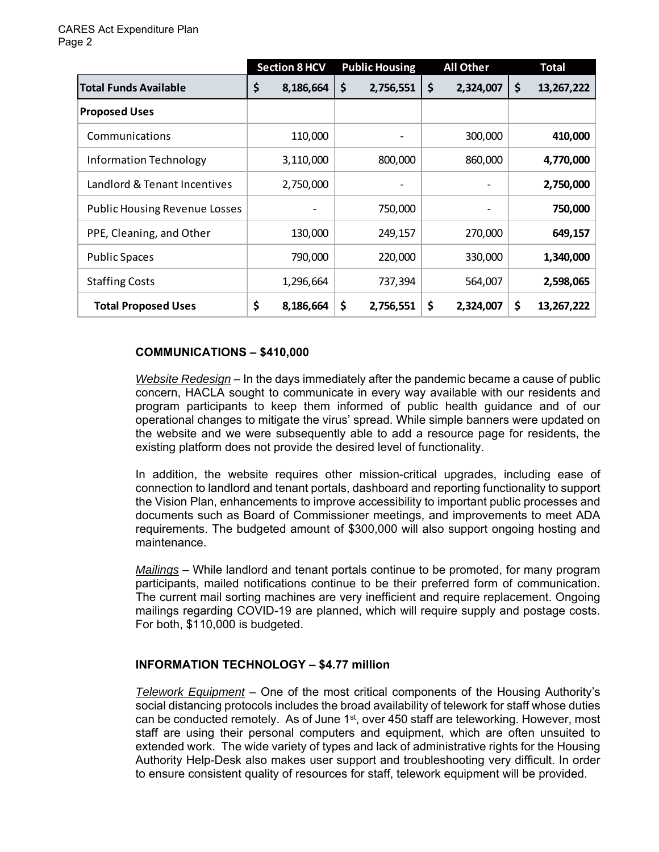|                                      | <b>Section 8 HCV</b> | <b>Public Housing</b><br><b>All Other</b> |    |           | <b>Total</b> |            |  |  |
|--------------------------------------|----------------------|-------------------------------------------|----|-----------|--------------|------------|--|--|
| <b>Total Funds Available</b>         | \$<br>8,186,664      | \$<br>2,756,551                           | \$ | 2,324,007 | \$           | 13,267,222 |  |  |
| <b>Proposed Uses</b>                 |                      |                                           |    |           |              |            |  |  |
| Communications                       | 110,000              |                                           |    | 300,000   |              | 410,000    |  |  |
| <b>Information Technology</b>        | 3,110,000            | 800,000                                   |    | 860,000   |              | 4,770,000  |  |  |
| Landlord & Tenant Incentives         | 2,750,000            |                                           |    |           |              | 2,750,000  |  |  |
| <b>Public Housing Revenue Losses</b> |                      | 750,000                                   |    |           |              | 750,000    |  |  |
| PPE, Cleaning, and Other             | 130,000              | 249,157                                   |    | 270,000   |              | 649,157    |  |  |
| <b>Public Spaces</b>                 | 790,000              | 220,000                                   |    | 330,000   |              | 1,340,000  |  |  |
| <b>Staffing Costs</b>                | 1,296,664            | 737,394                                   |    | 564,007   |              | 2,598,065  |  |  |
| <b>Total Proposed Uses</b>           | \$<br>8,186,664      | \$<br>2,756,551                           | \$ | 2,324,007 | \$           | 13,267,222 |  |  |

# **COMMUNICATIONS – \$410,000**

*Website Redesign* – In the days immediately after the pandemic became a cause of public concern, HACLA sought to communicate in every way available with our residents and program participants to keep them informed of public health guidance and of our operational changes to mitigate the virus' spread. While simple banners were updated on the website and we were subsequently able to add a resource page for residents, the existing platform does not provide the desired level of functionality.

In addition, the website requires other mission-critical upgrades, including ease of connection to landlord and tenant portals, dashboard and reporting functionality to support the Vision Plan, enhancements to improve accessibility to important public processes and documents such as Board of Commissioner meetings, and improvements to meet ADA requirements. The budgeted amount of \$300,000 will also support ongoing hosting and maintenance.

*Mailings* – While landlord and tenant portals continue to be promoted, for many program participants, mailed notifications continue to be their preferred form of communication. The current mail sorting machines are very inefficient and require replacement. Ongoing mailings regarding COVID-19 are planned, which will require supply and postage costs. For both, \$110,000 is budgeted.

# **INFORMATION TECHNOLOGY – \$4.77 million**

*Telework Equipment –* One of the most critical components of the Housing Authority's social distancing protocols includes the broad availability of telework for staff whose duties can be conducted remotely. As of June 1<sup>st</sup>, over 450 staff are teleworking. However, most staff are using their personal computers and equipment, which are often unsuited to extended work. The wide variety of types and lack of administrative rights for the Housing Authority Help-Desk also makes user support and troubleshooting very difficult. In order to ensure consistent quality of resources for staff, telework equipment will be provided.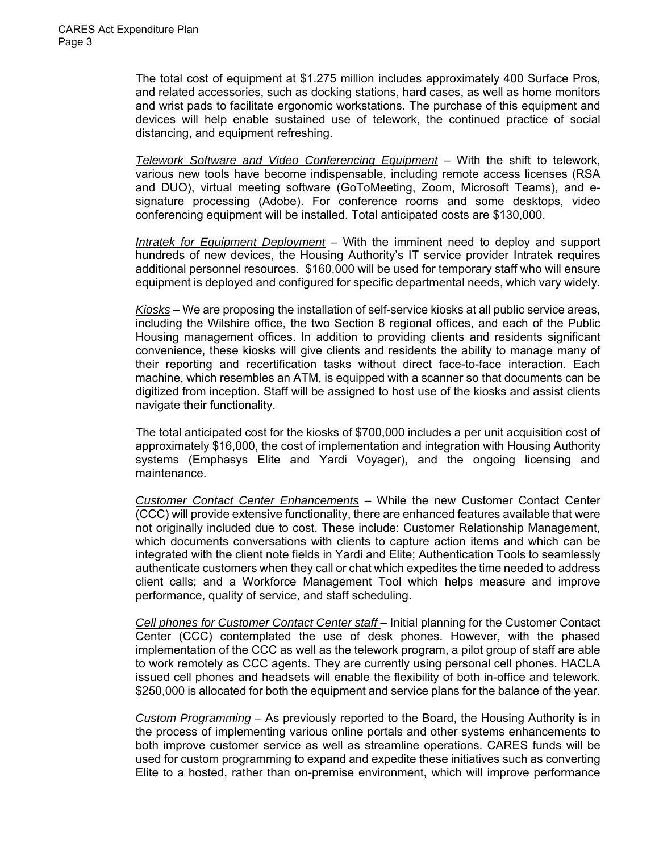The total cost of equipment at \$1.275 million includes approximately 400 Surface Pros, and related accessories, such as docking stations, hard cases, as well as home monitors and wrist pads to facilitate ergonomic workstations. The purchase of this equipment and devices will help enable sustained use of telework, the continued practice of social distancing, and equipment refreshing.

*Telework Software and Video Conferencing Equipment* – With the shift to telework, various new tools have become indispensable, including remote access licenses (RSA and DUO), virtual meeting software (GoToMeeting, Zoom, Microsoft Teams), and esignature processing (Adobe). For conference rooms and some desktops, video conferencing equipment will be installed. Total anticipated costs are \$130,000.

*Intratek for Equipment Deployment* – With the imminent need to deploy and support hundreds of new devices, the Housing Authority's IT service provider Intratek requires additional personnel resources. \$160,000 will be used for temporary staff who will ensure equipment is deployed and configured for specific departmental needs, which vary widely.

*Kiosks* – We are proposing the installation of self-service kiosks at all public service areas, including the Wilshire office, the two Section 8 regional offices, and each of the Public Housing management offices. In addition to providing clients and residents significant convenience, these kiosks will give clients and residents the ability to manage many of their reporting and recertification tasks without direct face-to-face interaction. Each machine, which resembles an ATM, is equipped with a scanner so that documents can be digitized from inception. Staff will be assigned to host use of the kiosks and assist clients navigate their functionality.

The total anticipated cost for the kiosks of \$700,000 includes a per unit acquisition cost of approximately \$16,000, the cost of implementation and integration with Housing Authority systems (Emphasys Elite and Yardi Voyager), and the ongoing licensing and maintenance.

*Customer Contact Center Enhancements* – While the new Customer Contact Center (CCC) will provide extensive functionality, there are enhanced features available that were not originally included due to cost. These include: Customer Relationship Management, which documents conversations with clients to capture action items and which can be integrated with the client note fields in Yardi and Elite; Authentication Tools to seamlessly authenticate customers when they call or chat which expedites the time needed to address client calls; and a Workforce Management Tool which helps measure and improve performance, quality of service, and staff scheduling.

*Cell phones for Customer Contact Center staff* – Initial planning for the Customer Contact Center (CCC) contemplated the use of desk phones. However, with the phased implementation of the CCC as well as the telework program, a pilot group of staff are able to work remotely as CCC agents. They are currently using personal cell phones. HACLA issued cell phones and headsets will enable the flexibility of both in-office and telework. \$250,000 is allocated for both the equipment and service plans for the balance of the year.

*Custom Programming –* As previously reported to the Board, the Housing Authority is in the process of implementing various online portals and other systems enhancements to both improve customer service as well as streamline operations. CARES funds will be used for custom programming to expand and expedite these initiatives such as converting Elite to a hosted, rather than on-premise environment, which will improve performance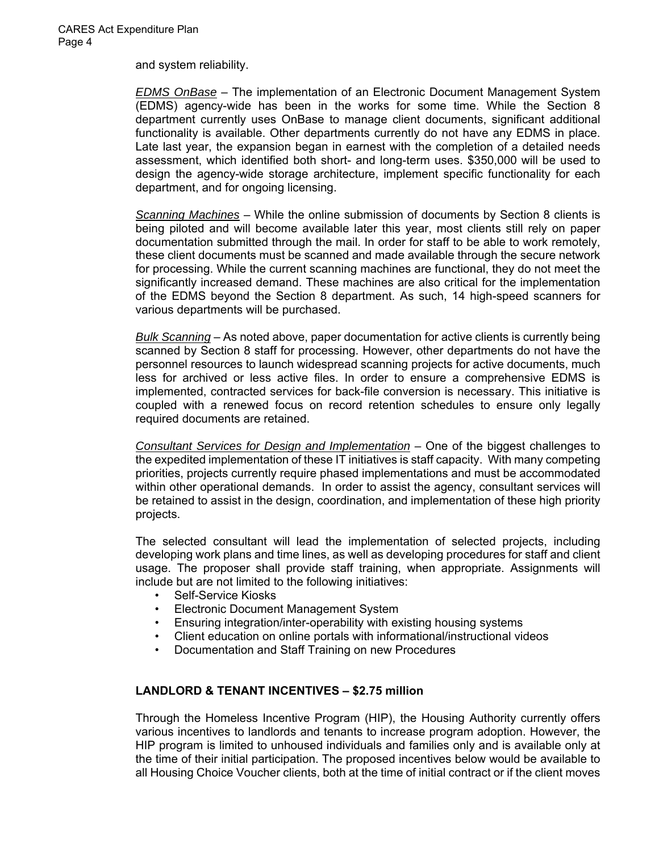and system reliability.

*EDMS OnBase* – The implementation of an Electronic Document Management System (EDMS) agency-wide has been in the works for some time. While the Section 8 department currently uses OnBase to manage client documents, significant additional functionality is available. Other departments currently do not have any EDMS in place. Late last year, the expansion began in earnest with the completion of a detailed needs assessment, which identified both short- and long-term uses. \$350,000 will be used to design the agency-wide storage architecture, implement specific functionality for each department, and for ongoing licensing.

*Scanning Machines* – While the online submission of documents by Section 8 clients is being piloted and will become available later this year, most clients still rely on paper documentation submitted through the mail. In order for staff to be able to work remotely, these client documents must be scanned and made available through the secure network for processing. While the current scanning machines are functional, they do not meet the significantly increased demand. These machines are also critical for the implementation of the EDMS beyond the Section 8 department. As such, 14 high-speed scanners for various departments will be purchased.

*Bulk Scanning* – As noted above, paper documentation for active clients is currently being scanned by Section 8 staff for processing. However, other departments do not have the personnel resources to launch widespread scanning projects for active documents, much less for archived or less active files. In order to ensure a comprehensive EDMS is implemented, contracted services for back-file conversion is necessary. This initiative is coupled with a renewed focus on record retention schedules to ensure only legally required documents are retained.

*Consultant Services for Design and Implementation –* One of the biggest challenges to the expedited implementation of these IT initiatives is staff capacity. With many competing priorities, projects currently require phased implementations and must be accommodated within other operational demands. In order to assist the agency, consultant services will be retained to assist in the design, coordination, and implementation of these high priority projects.

The selected consultant will lead the implementation of selected projects, including developing work plans and time lines, as well as developing procedures for staff and client usage. The proposer shall provide staff training, when appropriate. Assignments will include but are not limited to the following initiatives:

- Self-Service Kiosks
- Electronic Document Management System
- Ensuring integration/inter-operability with existing housing systems
- Client education on online portals with informational/instructional videos
- Documentation and Staff Training on new Procedures

# **LANDLORD & TENANT INCENTIVES – \$2.75 million**

Through the Homeless Incentive Program (HIP), the Housing Authority currently offers various incentives to landlords and tenants to increase program adoption. However, the HIP program is limited to unhoused individuals and families only and is available only at the time of their initial participation. The proposed incentives below would be available to all Housing Choice Voucher clients, both at the time of initial contract or if the client moves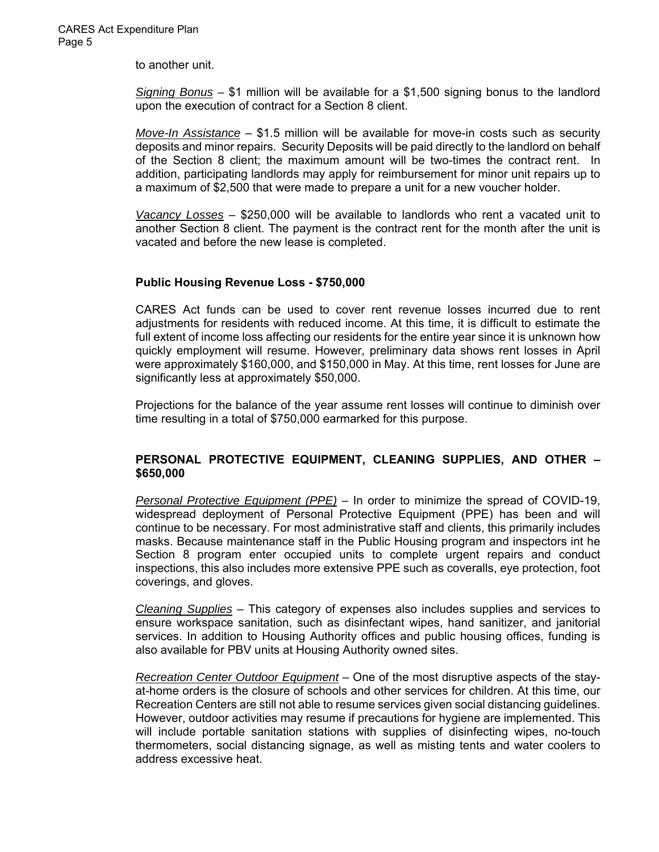to another unit.

*Signing Bonus –* \$1 million will be available for a \$1,500 signing bonus to the landlord upon the execution of contract for a Section 8 client.

*Move-In Assistance* – \$1.5 million will be available for move-in costs such as security deposits and minor repairs. Security Deposits will be paid directly to the landlord on behalf of the Section 8 client; the maximum amount will be two-times the contract rent. In addition, participating landlords may apply for reimbursement for minor unit repairs up to a maximum of \$2,500 that were made to prepare a unit for a new voucher holder.

*Vacancy Losses* – \$250,000 will be available to landlords who rent a vacated unit to another Section 8 client. The payment is the contract rent for the month after the unit is vacated and before the new lease is completed.

# **Public Housing Revenue Loss - \$750,000**

CARES Act funds can be used to cover rent revenue losses incurred due to rent adjustments for residents with reduced income. At this time, it is difficult to estimate the full extent of income loss affecting our residents for the entire year since it is unknown how quickly employment will resume. However, preliminary data shows rent losses in April were approximately \$160,000, and \$150,000 in May. At this time, rent losses for June are significantly less at approximately \$50,000.

Projections for the balance of the year assume rent losses will continue to diminish over time resulting in a total of \$750,000 earmarked for this purpose.

# **PERSONAL PROTECTIVE EQUIPMENT, CLEANING SUPPLIES, AND OTHER – \$650,000**

*Personal Protective Equipment (PPE)* – In order to minimize the spread of COVID-19, widespread deployment of Personal Protective Equipment (PPE) has been and will continue to be necessary. For most administrative staff and clients, this primarily includes masks. Because maintenance staff in the Public Housing program and inspectors int he Section 8 program enter occupied units to complete urgent repairs and conduct inspections, this also includes more extensive PPE such as coveralls, eye protection, foot coverings, and gloves.

*Cleaning Supplies* – This category of expenses also includes supplies and services to ensure workspace sanitation, such as disinfectant wipes, hand sanitizer, and janitorial services. In addition to Housing Authority offices and public housing offices, funding is also available for PBV units at Housing Authority owned sites.

*Recreation Center Outdoor Equipment* – One of the most disruptive aspects of the stayat-home orders is the closure of schools and other services for children. At this time, our Recreation Centers are still not able to resume services given social distancing guidelines. However, outdoor activities may resume if precautions for hygiene are implemented. This will include portable sanitation stations with supplies of disinfecting wipes, no-touch thermometers, social distancing signage, as well as misting tents and water coolers to address excessive heat.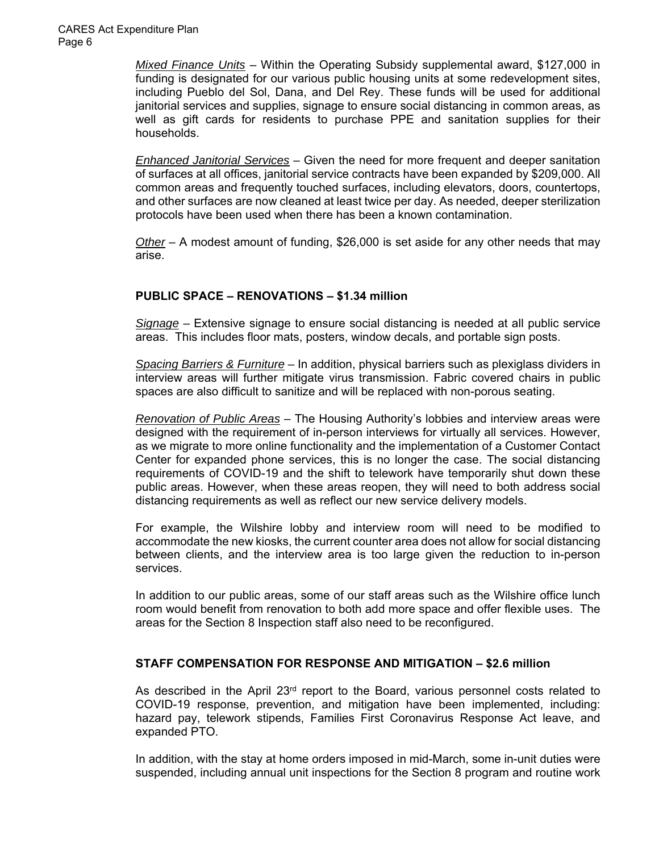*Mixed Finance Units* – Within the Operating Subsidy supplemental award, \$127,000 in funding is designated for our various public housing units at some redevelopment sites, including Pueblo del Sol, Dana, and Del Rey. These funds will be used for additional janitorial services and supplies, signage to ensure social distancing in common areas, as well as gift cards for residents to purchase PPE and sanitation supplies for their households.

*Enhanced Janitorial Services* – Given the need for more frequent and deeper sanitation of surfaces at all offices, janitorial service contracts have been expanded by \$209,000. All common areas and frequently touched surfaces, including elevators, doors, countertops, and other surfaces are now cleaned at least twice per day. As needed, deeper sterilization protocols have been used when there has been a known contamination.

*Other* – A modest amount of funding, \$26,000 is set aside for any other needs that may arise.

# **PUBLIC SPACE – RENOVATIONS – \$1.34 million**

*Signage* – Extensive signage to ensure social distancing is needed at all public service areas. This includes floor mats, posters, window decals, and portable sign posts.

*Spacing Barriers & Furniture* – In addition, physical barriers such as plexiglass dividers in interview areas will further mitigate virus transmission. Fabric covered chairs in public spaces are also difficult to sanitize and will be replaced with non-porous seating.

*Renovation of Public Areas* – The Housing Authority's lobbies and interview areas were designed with the requirement of in-person interviews for virtually all services. However, as we migrate to more online functionality and the implementation of a Customer Contact Center for expanded phone services, this is no longer the case. The social distancing requirements of COVID-19 and the shift to telework have temporarily shut down these public areas. However, when these areas reopen, they will need to both address social distancing requirements as well as reflect our new service delivery models.

For example, the Wilshire lobby and interview room will need to be modified to accommodate the new kiosks, the current counter area does not allow for social distancing between clients, and the interview area is too large given the reduction to in-person services.

In addition to our public areas, some of our staff areas such as the Wilshire office lunch room would benefit from renovation to both add more space and offer flexible uses. The areas for the Section 8 Inspection staff also need to be reconfigured.

# **STAFF COMPENSATION FOR RESPONSE AND MITIGATION – \$2.6 million**

As described in the April  $23<sup>rd</sup>$  report to the Board, various personnel costs related to COVID-19 response, prevention, and mitigation have been implemented, including: hazard pay, telework stipends, Families First Coronavirus Response Act leave, and expanded PTO.

In addition, with the stay at home orders imposed in mid-March, some in-unit duties were suspended, including annual unit inspections for the Section 8 program and routine work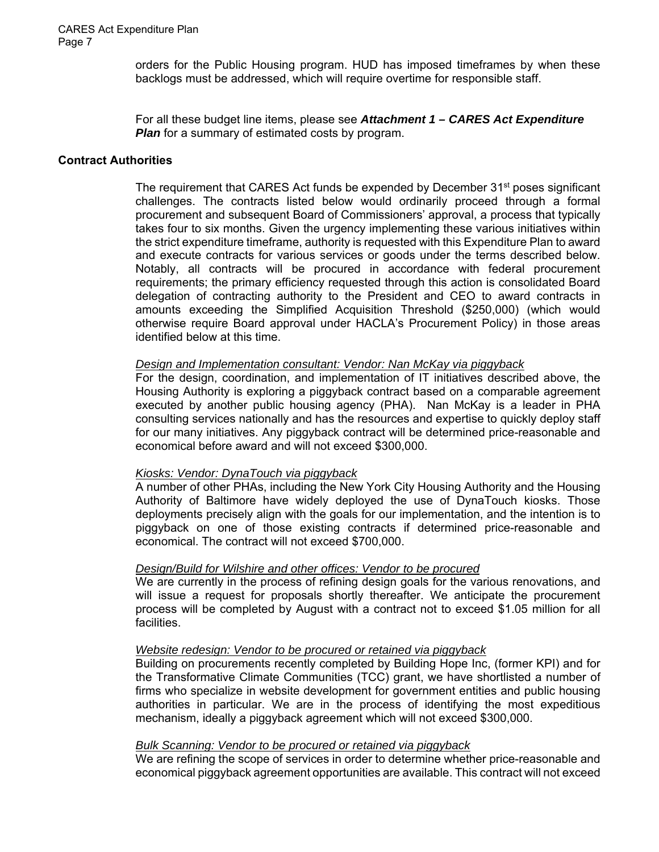orders for the Public Housing program. HUD has imposed timeframes by when these backlogs must be addressed, which will require overtime for responsible staff.

For all these budget line items, please see *Attachment 1 – CARES Act Expenditure Plan* for a summary of estimated costs by program.

### **Contract Authorities**

The requirement that CARES Act funds be expended by December  $31<sup>st</sup>$  poses significant challenges. The contracts listed below would ordinarily proceed through a formal procurement and subsequent Board of Commissioners' approval, a process that typically takes four to six months. Given the urgency implementing these various initiatives within the strict expenditure timeframe, authority is requested with this Expenditure Plan to award and execute contracts for various services or goods under the terms described below. Notably, all contracts will be procured in accordance with federal procurement requirements; the primary efficiency requested through this action is consolidated Board delegation of contracting authority to the President and CEO to award contracts in amounts exceeding the Simplified Acquisition Threshold (\$250,000) (which would otherwise require Board approval under HACLA's Procurement Policy) in those areas identified below at this time.

#### *Design and Implementation consultant: Vendor: Nan McKay via piggyback*

For the design, coordination, and implementation of IT initiatives described above, the Housing Authority is exploring a piggyback contract based on a comparable agreement executed by another public housing agency (PHA). Nan McKay is a leader in PHA consulting services nationally and has the resources and expertise to quickly deploy staff for our many initiatives. Any piggyback contract will be determined price-reasonable and economical before award and will not exceed \$300,000.

### *Kiosks: Vendor: DynaTouch via piggyback*

A number of other PHAs, including the New York City Housing Authority and the Housing Authority of Baltimore have widely deployed the use of DynaTouch kiosks. Those deployments precisely align with the goals for our implementation, and the intention is to piggyback on one of those existing contracts if determined price-reasonable and economical. The contract will not exceed \$700,000.

### *Design/Build for Wilshire and other offices: Vendor to be procured*

We are currently in the process of refining design goals for the various renovations, and will issue a request for proposals shortly thereafter. We anticipate the procurement process will be completed by August with a contract not to exceed \$1.05 million for all facilities.

#### *Website redesign: Vendor to be procured or retained via piggyback*

Building on procurements recently completed by Building Hope Inc, (former KPI) and for the Transformative Climate Communities (TCC) grant, we have shortlisted a number of firms who specialize in website development for government entities and public housing authorities in particular. We are in the process of identifying the most expeditious mechanism, ideally a piggyback agreement which will not exceed \$300,000.

#### *Bulk Scanning: Vendor to be procured or retained via piggyback*

We are refining the scope of services in order to determine whether price-reasonable and economical piggyback agreement opportunities are available. This contract will not exceed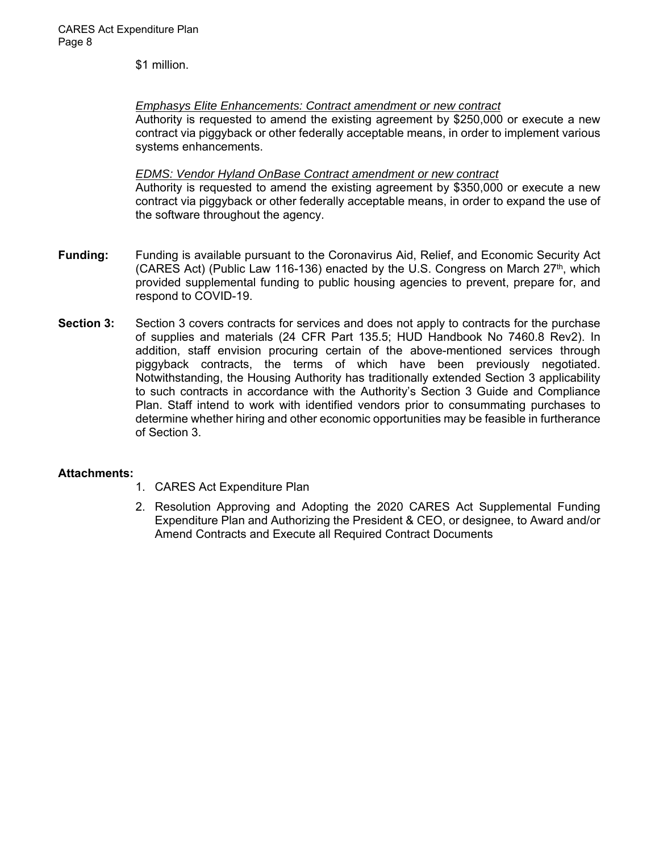\$1 million.

*Emphasys Elite Enhancements: Contract amendment or new contract* 

Authority is requested to amend the existing agreement by \$250,000 or execute a new contract via piggyback or other federally acceptable means, in order to implement various systems enhancements.

### *EDMS: Vendor Hyland OnBase Contract amendment or new contract*

Authority is requested to amend the existing agreement by \$350,000 or execute a new contract via piggyback or other federally acceptable means, in order to expand the use of the software throughout the agency.

- **Funding:** Funding is available pursuant to the Coronavirus Aid, Relief, and Economic Security Act (CARES Act) (Public Law 116-136) enacted by the U.S. Congress on March  $27<sup>th</sup>$ , which provided supplemental funding to public housing agencies to prevent, prepare for, and respond to COVID-19.
- **Section 3:** Section 3 covers contracts for services and does not apply to contracts for the purchase of supplies and materials (24 CFR Part 135.5; HUD Handbook No 7460.8 Rev2). In addition, staff envision procuring certain of the above-mentioned services through piggyback contracts, the terms of which have been previously negotiated. Notwithstanding, the Housing Authority has traditionally extended Section 3 applicability to such contracts in accordance with the Authority's Section 3 Guide and Compliance Plan. Staff intend to work with identified vendors prior to consummating purchases to determine whether hiring and other economic opportunities may be feasible in furtherance of Section 3.

# **Attachments:**

- 1. CARES Act Expenditure Plan
- 2. Resolution Approving and Adopting the 2020 CARES Act Supplemental Funding Expenditure Plan and Authorizing the President & CEO, or designee, to Award and/or Amend Contracts and Execute all Required Contract Documents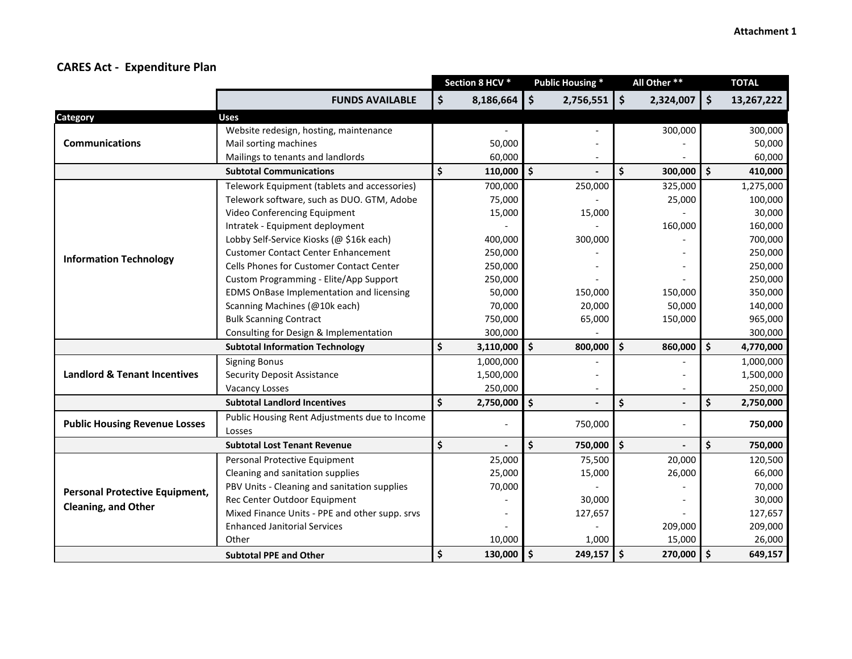|                                                                     |                                                | Section 8 HCV * |           | <b>Public Housing *</b>             | All Other **       |                          |                    | <b>TOTAL</b> |
|---------------------------------------------------------------------|------------------------------------------------|-----------------|-----------|-------------------------------------|--------------------|--------------------------|--------------------|--------------|
|                                                                     | <b>FUNDS AVAILABLE</b>                         | \$              | 8,186,664 | \$<br>2,756,551                     | $\mathsf{S}$       | 2,324,007                | $\dot{\mathsf{S}}$ | 13,267,222   |
| Category                                                            | <b>Uses</b>                                    |                 |           |                                     |                    |                          |                    |              |
|                                                                     | Website redesign, hosting, maintenance         |                 |           |                                     |                    | 300,000                  |                    | 300,000      |
| <b>Communications</b>                                               | Mail sorting machines                          |                 | 50,000    |                                     |                    |                          |                    | 50,000       |
|                                                                     | Mailings to tenants and landlords              |                 | 60,000    |                                     |                    |                          |                    | 60,000       |
| <b>Subtotal Communications</b>                                      |                                                | \$              | 110,000   | $\boldsymbol{\mathsf{S}}$           | \$                 | 300,000                  | \$                 | 410,000      |
|                                                                     | Telework Equipment (tablets and accessories)   |                 | 700,000   | 250,000                             |                    | 325,000                  |                    | 1,275,000    |
|                                                                     | Telework software, such as DUO. GTM, Adobe     |                 | 75,000    |                                     |                    | 25,000                   |                    | 100,000      |
|                                                                     | Video Conferencing Equipment                   |                 | 15,000    | 15,000                              |                    |                          |                    | 30,000       |
|                                                                     | Intratek - Equipment deployment                |                 |           |                                     |                    | 160,000                  |                    | 160,000      |
|                                                                     | Lobby Self-Service Kiosks (@ \$16k each)       |                 | 400,000   | 300,000                             |                    |                          |                    | 700,000      |
| <b>Information Technology</b>                                       | <b>Customer Contact Center Enhancement</b>     |                 | 250,000   |                                     |                    |                          |                    | 250,000      |
|                                                                     | Cells Phones for Customer Contact Center       |                 | 250,000   |                                     |                    |                          |                    | 250,000      |
|                                                                     | Custom Programming - Elite/App Support         |                 | 250,000   |                                     |                    |                          |                    | 250,000      |
|                                                                     | EDMS OnBase Implementation and licensing       |                 | 50,000    | 150,000                             |                    | 150,000                  |                    | 350,000      |
|                                                                     | Scanning Machines (@10k each)                  |                 | 70,000    | 20,000                              |                    | 50,000                   |                    | 140,000      |
|                                                                     | <b>Bulk Scanning Contract</b>                  |                 | 750,000   | 65,000                              |                    | 150,000                  |                    | 965,000      |
|                                                                     | Consulting for Design & Implementation         |                 | 300,000   |                                     |                    |                          |                    | 300,000      |
|                                                                     | <b>Subtotal Information Technology</b>         | \$              | 3,110,000 | $\mathsf{S}$<br>800,000             | $\dot{\mathsf{s}}$ | 860,000                  | $\mathsf{\hat{S}}$ | 4,770,000    |
| <b>Landlord &amp; Tenant Incentives</b>                             | <b>Signing Bonus</b>                           |                 | 1,000,000 |                                     |                    |                          |                    | 1,000,000    |
|                                                                     | <b>Security Deposit Assistance</b>             |                 | 1,500,000 |                                     |                    |                          |                    | 1,500,000    |
|                                                                     | <b>Vacancy Losses</b>                          |                 | 250,000   | $\overline{\phantom{a}}$            |                    | $\overline{\phantom{a}}$ |                    | 250,000      |
| <b>Subtotal Landlord Incentives</b>                                 |                                                | \$              | 2,750,000 | \$                                  | \$                 |                          | \$                 | 2,750,000    |
| <b>Public Housing Revenue Losses</b>                                | Public Housing Rent Adjustments due to Income  |                 |           | 750,000                             |                    | $\blacksquare$           |                    | 750,000      |
|                                                                     | Losses                                         |                 |           |                                     |                    |                          |                    |              |
|                                                                     | <b>Subtotal Lost Tenant Revenue</b>            | \$              |           | \$<br>750,000                       | \$                 |                          | $\dot{\mathsf{s}}$ | 750,000      |
| <b>Personal Protective Equipment,</b><br><b>Cleaning, and Other</b> | Personal Protective Equipment                  |                 | 25,000    | 75,500                              |                    | 20,000                   |                    | 120,500      |
|                                                                     | Cleaning and sanitation supplies               |                 | 25,000    | 15,000                              |                    | 26,000                   |                    | 66,000       |
|                                                                     | PBV Units - Cleaning and sanitation supplies   |                 | 70,000    |                                     |                    |                          |                    | 70,000       |
|                                                                     | Rec Center Outdoor Equipment                   |                 |           | 30,000                              |                    |                          |                    | 30,000       |
|                                                                     | Mixed Finance Units - PPE and other supp. srvs |                 |           | 127,657                             |                    |                          |                    | 127,657      |
|                                                                     | <b>Enhanced Janitorial Services</b>            |                 |           |                                     |                    | 209,000                  |                    | 209,000      |
|                                                                     | Other                                          |                 | 10,000    | 1,000                               |                    | 15,000                   |                    | 26,000       |
|                                                                     | <b>Subtotal PPE and Other</b>                  | \$              | 130,000   | $\ddot{\bm{\zeta}}$<br>$249,157$ \$ |                    | 270,000                  | l \$               | 649,157      |

# **CARES Act ‐ Expenditure Plan**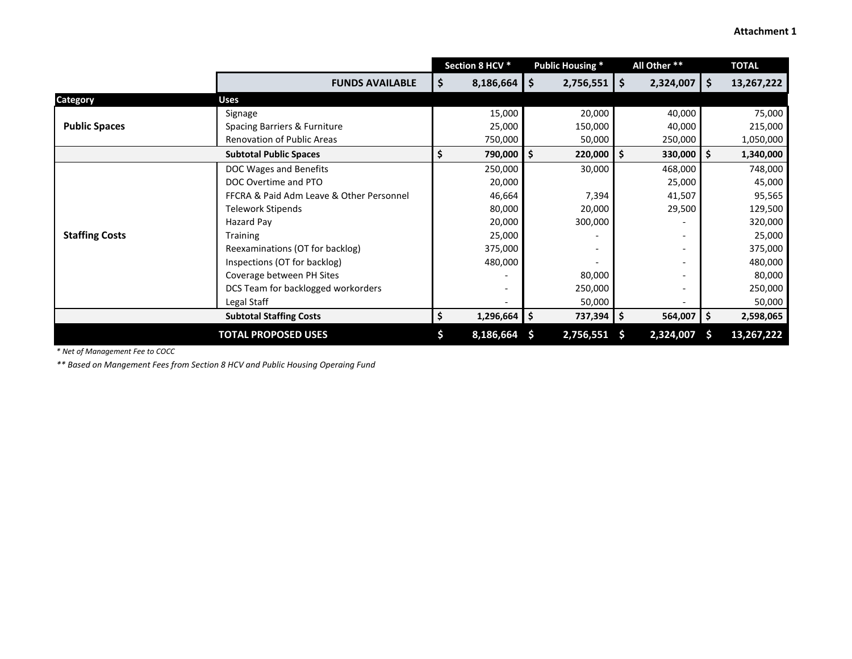|                            |                                          | Section 8 HCV * |                          | <b>Public Housing *</b> |                | All Other ** |                          |    | <b>TOTAL</b> |
|----------------------------|------------------------------------------|-----------------|--------------------------|-------------------------|----------------|--------------|--------------------------|----|--------------|
|                            | <b>FUNDS AVAILABLE</b>                   | \$.             | 8,186,664                | \$                      | $2,756,551$ \$ |              | $2,324,007$   \$         |    | 13,267,222   |
| <b>Category</b>            | <b>Uses</b>                              |                 |                          |                         |                |              |                          |    |              |
|                            | Signage                                  |                 | 15,000                   |                         | 20,000         |              | 40,000                   |    | 75,000       |
| <b>Public Spaces</b>       | Spacing Barriers & Furniture             |                 | 25,000                   |                         | 150,000        |              | 40,000                   |    | 215,000      |
|                            | <b>Renovation of Public Areas</b>        |                 | 750,000                  |                         | 50,000         |              | 250,000                  |    | 1,050,000    |
|                            | <b>Subtotal Public Spaces</b>            | \$              | 790,000                  | Ŝ.                      | $220,000$ \$   |              | $330,000$ \$             |    | 1,340,000    |
|                            | DOC Wages and Benefits                   |                 | 250,000                  |                         | 30,000         |              | 468,000                  |    | 748,000      |
|                            | DOC Overtime and PTO                     |                 | 20,000                   |                         |                |              | 25,000                   |    | 45,000       |
|                            | FFCRA & Paid Adm Leave & Other Personnel |                 | 46,664                   |                         | 7,394          |              | 41,507                   |    | 95,565       |
|                            | <b>Telework Stipends</b>                 |                 | 80,000                   |                         | 20,000         |              | 29,500                   |    | 129,500      |
|                            | Hazard Pay                               |                 | 20,000                   |                         | 300,000        |              |                          |    | 320,000      |
| <b>Staffing Costs</b>      | <b>Training</b>                          |                 | 25,000                   |                         |                |              |                          |    | 25,000       |
|                            | Reexaminations (OT for backlog)          |                 | 375,000                  |                         |                |              | $\overline{\phantom{a}}$ |    | 375,000      |
|                            | Inspections (OT for backlog)             |                 | 480,000                  |                         |                |              |                          |    | 480,000      |
|                            | Coverage between PH Sites                |                 |                          |                         | 80,000         |              |                          |    | 80,000       |
|                            | DCS Team for backlogged workorders       |                 | $\overline{\phantom{a}}$ |                         | 250,000        |              | $\overline{\phantom{a}}$ |    | 250,000      |
|                            | Legal Staff                              |                 | $\overline{\phantom{a}}$ |                         | 50,000         |              | $\overline{\phantom{a}}$ |    | 50,000       |
|                            | <b>Subtotal Staffing Costs</b>           |                 | $1,296,664$ \$           |                         | 737,394   \$   |              | 564,007 \$               |    | 2,598,065    |
| <b>TOTAL PROPOSED USES</b> |                                          |                 | 8,186,664                | <b>S</b>                | 2,756,551      | <b>S</b>     | 2,324,007                | -S | 13,267,222   |

*\* Net of Management Fee to COCC*

*\*\* Based on Mangement Fees from Section 8 HCV and Public Housing Operaing Fund*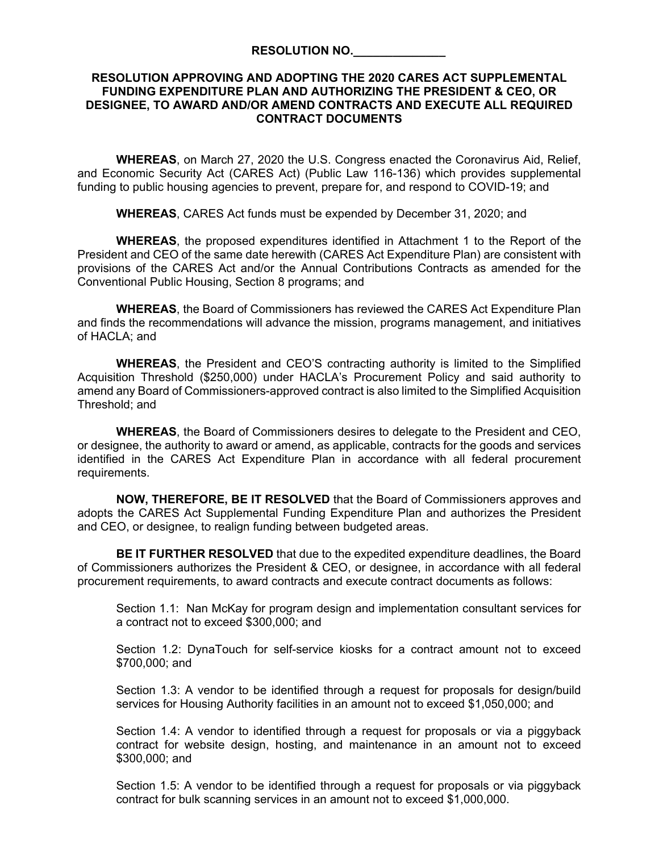#### **RESOLUTION NO.\_\_\_\_\_\_\_\_\_\_\_\_\_\_**

### **RESOLUTION APPROVING AND ADOPTING THE 2020 CARES ACT SUPPLEMENTAL FUNDING EXPENDITURE PLAN AND AUTHORIZING THE PRESIDENT & CEO, OR DESIGNEE, TO AWARD AND/OR AMEND CONTRACTS AND EXECUTE ALL REQUIRED CONTRACT DOCUMENTS**

**WHEREAS**, on March 27, 2020 the U.S. Congress enacted the Coronavirus Aid, Relief, and Economic Security Act (CARES Act) (Public Law 116-136) which provides supplemental funding to public housing agencies to prevent, prepare for, and respond to COVID-19; and

**WHEREAS**, CARES Act funds must be expended by December 31, 2020; and

**WHEREAS**, the proposed expenditures identified in Attachment 1 to the Report of the President and CEO of the same date herewith (CARES Act Expenditure Plan) are consistent with provisions of the CARES Act and/or the Annual Contributions Contracts as amended for the Conventional Public Housing, Section 8 programs; and

**WHEREAS**, the Board of Commissioners has reviewed the CARES Act Expenditure Plan and finds the recommendations will advance the mission, programs management, and initiatives of HACLA; and

**WHEREAS**, the President and CEO'S contracting authority is limited to the Simplified Acquisition Threshold (\$250,000) under HACLA's Procurement Policy and said authority to amend any Board of Commissioners-approved contract is also limited to the Simplified Acquisition Threshold; and

**WHEREAS**, the Board of Commissioners desires to delegate to the President and CEO, or designee, the authority to award or amend, as applicable, contracts for the goods and services identified in the CARES Act Expenditure Plan in accordance with all federal procurement requirements.

**NOW, THEREFORE, BE IT RESOLVED** that the Board of Commissioners approves and adopts the CARES Act Supplemental Funding Expenditure Plan and authorizes the President and CEO, or designee, to realign funding between budgeted areas.

**BE IT FURTHER RESOLVED** that due to the expedited expenditure deadlines, the Board of Commissioners authorizes the President & CEO, or designee, in accordance with all federal procurement requirements, to award contracts and execute contract documents as follows:

Section 1.1: Nan McKay for program design and implementation consultant services for a contract not to exceed \$300,000; and

Section 1.2: DynaTouch for self-service kiosks for a contract amount not to exceed \$700,000; and

Section 1.3: A vendor to be identified through a request for proposals for design/build services for Housing Authority facilities in an amount not to exceed \$1,050,000; and

Section 1.4: A vendor to identified through a request for proposals or via a piggyback contract for website design, hosting, and maintenance in an amount not to exceed \$300,000; and

Section 1.5: A vendor to be identified through a request for proposals or via piggyback contract for bulk scanning services in an amount not to exceed \$1,000,000.